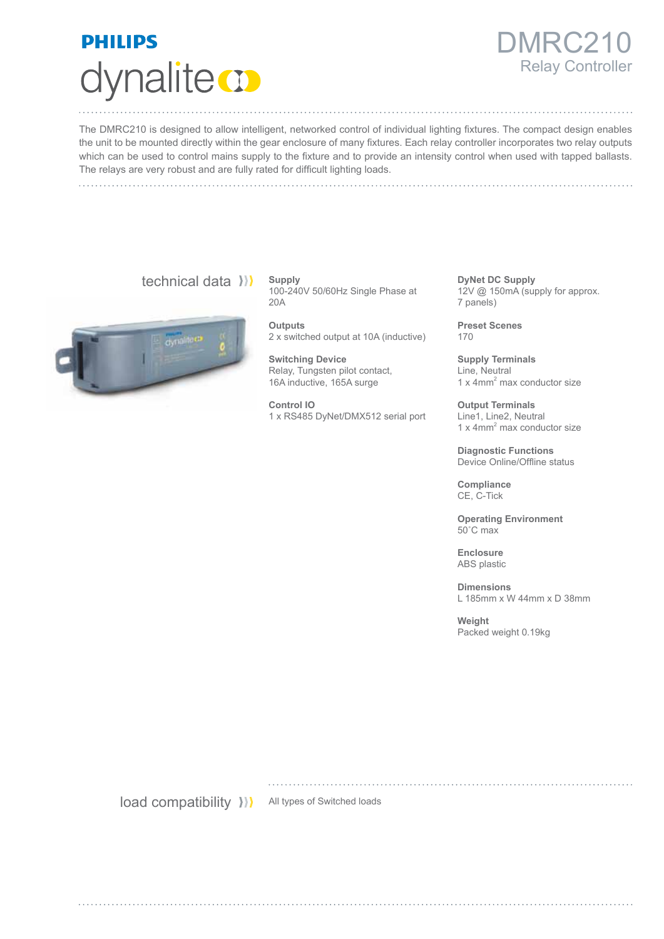

## 1RC21 Relay Controller

The DMRC210 is designed to allow intelligent, networked control of individual lighting fixtures. The compact design enables the unit to be mounted directly within the gear enclosure of many fixtures. Each relay controller incorporates two relay outputs which can be used to control mains supply to the fixture and to provide an intensity control when used with tapped ballasts. The relays are very robust and are fully rated for difficult lighting loads.

## technical data ))



**Supply** 100-240V 50/60Hz Single Phase at 20A

**Outputs** 2 x switched output at 10A (inductive)

**Switching Device** Relay, Tungsten pilot contact, 16A inductive, 165A surge

**Control IO** 1 x RS485 DyNet/DMX512 serial port **DyNet DC Supply** 12V @ 150mA (supply for approx. 7 panels)

**Preset Scenes** 170

**Supply Terminals** Line, Neutral 1 x 4mm<sup>2</sup> max conductor size

**Output Terminals** Line1, Line2, Neutral 1 x 4mm<sup>2</sup> max conductor size

**Diagnostic Functions** Device Online/Offline status

**Compliance** CE, C-Tick

**Operating Environment** 50˚C max

**Enclosure** ABS plastic

**Dimensions** L 185mm x W 44mm x D 38mm

**Weight** Packed weight 0.19kg

load compatibility >>>>>>>>>>All types of Switched loads